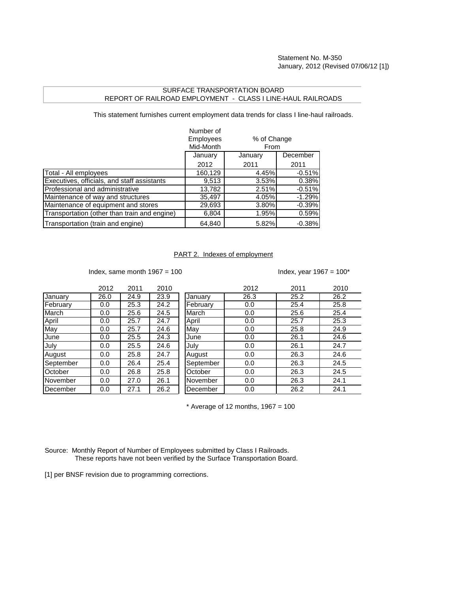## SURFACE TRANSPORTATION BOARD REPORT OF RAILROAD EMPLOYMENT - CLASS I LINE-HAUL RAILROADS

This statement furnishes current employment data trends for class I line-haul railroads.

|                                              | Number of<br><b>Employees</b><br>Mid-Month |         | % of Change<br>From |  |
|----------------------------------------------|--------------------------------------------|---------|---------------------|--|
|                                              | January                                    | January | December            |  |
|                                              | 2012                                       | 2011    | 2011                |  |
| Total - All employees                        | 160,129                                    | 4.45%   | $-0.51%$            |  |
| Executives, officials, and staff assistants  | 9,513                                      | 3.53%   | 0.38%               |  |
| Professional and administrative              | 13,782                                     | 2.51%   | $-0.51%$            |  |
| Maintenance of way and structures            | 35,497                                     | 4.05%   | $-1.29%$            |  |
| Maintenance of equipment and stores          | 29,693                                     | 3.80%   | $-0.39%$            |  |
| Transportation (other than train and engine) | 6,804                                      | 1.95%   | 0.59%               |  |
| Transportation (train and engine)            | 64.840                                     | 5.82%   | $-0.38%$            |  |

## PART 2. Indexes of employment

Index, same month  $1967 = 100$  Index, year  $1967 = 100^*$ 

|           | 2012 | 2011 | 2010 |           | 2012 | 2011 | 2010 |
|-----------|------|------|------|-----------|------|------|------|
| January   | 26.0 | 24.9 | 23.9 | January   | 26.3 | 25.2 | 26.2 |
| February  | 0.0  | 25.3 | 24.2 | February  | 0.0  | 25.4 | 25.8 |
| March     | 0.0  | 25.6 | 24.5 | March     | 0.0  | 25.6 | 25.4 |
| April     | 0.0  | 25.7 | 24.7 | April     | 0.0  | 25.7 | 25.3 |
| May       | 0.0  | 25.7 | 24.6 | May       | 0.0  | 25.8 | 24.9 |
| June      | 0.0  | 25.5 | 24.3 | June      | 0.0  | 26.1 | 24.6 |
| July      | 0.0  | 25.5 | 24.6 | July      | 0.0  | 26.1 | 24.7 |
| August    | 0.0  | 25.8 | 24.7 | August    | 0.0  | 26.3 | 24.6 |
| September | 0.0  | 26.4 | 25.4 | September | 0.0  | 26.3 | 24.5 |
| October   | 0.0  | 26.8 | 25.8 | October   | 0.0  | 26.3 | 24.5 |
| November  | 0.0  | 27.0 | 26.1 | November  | 0.0  | 26.3 | 24.1 |
| December  | 0.0  | 27.1 | 26.2 | December  | 0.0  | 26.2 | 24.1 |

 $*$  Average of 12 months, 1967 = 100

Source: Monthly Report of Number of Employees submitted by Class I Railroads. These reports have not been verified by the Surface Transportation Board.

[1] per BNSF revision due to programming corrections.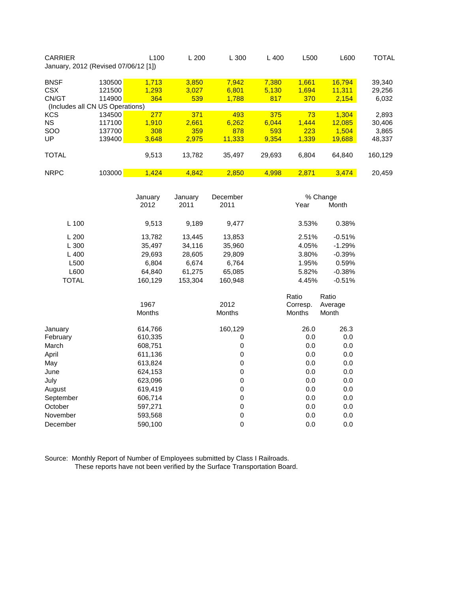| <b>CARRIER</b> |                                      | L100  | L200   | L 300  | L 400  | L500  | L600   | TOTAL   |
|----------------|--------------------------------------|-------|--------|--------|--------|-------|--------|---------|
|                | January, 2012 (Revised 07/06/12 [1]) |       |        |        |        |       |        |         |
| <b>BNSF</b>    | 130500                               | 1.713 | 3,850  | 7,942  | 7,380  | 1,661 | 16,794 | 39,340  |
| <b>CSX</b>     | 121500                               | 1.293 | 3.027  | 6.801  | 5,130  | 1.694 | 11,311 | 29,256  |
| CN/GT          | 114900                               | 364   | 539    | 1,788  | 817    | 370   | 2,154  | 6,032   |
|                | (Includes all CN US Operations)      |       |        |        |        |       |        |         |
| <b>KCS</b>     | 134500                               | 277   | 371    | 493    | 375    | 73    | 1.304  | 2,893   |
| <b>NS</b>      | 117100                               | 1.910 | 2.661  | 6,262  | 6.044  | 1.444 | 12.085 | 30,406  |
| <b>SOO</b>     | 137700                               | 308   | 359    | 878    | 593    | 223   | 1.504  | 3,865   |
| UP             | 139400                               | 3,648 | 2.975  | 11,333 | 9.354  | 1,339 | 19,688 | 48,337  |
| <b>TOTAL</b>   |                                      | 9,513 | 13,782 | 35.497 | 29,693 | 6.804 | 64.840 | 160,129 |
| <b>NRPC</b>    | 103000                               | 1.424 | 4.842  | 2.850  | 4.998  | 2.871 | 3.474  | 20.459  |

|              | January<br>2012 | January<br>2011 | December<br>2011 | Year     | % Change<br>Month |  |
|--------------|-----------------|-----------------|------------------|----------|-------------------|--|
|              |                 |                 |                  |          |                   |  |
| L 100        | 9,513           | 9,189           | 9,477            | 3.53%    | 0.38%             |  |
| L200         | 13,782          | 13,445          | 13,853           | 2.51%    | $-0.51%$          |  |
| L 300        | 35,497          | 34,116          | 35,960           | 4.05%    | $-1.29%$          |  |
| L400         | 29,693          | 28,605          | 29,809           | 3.80%    | $-0.39%$          |  |
| L500         | 6,804           | 6,674           | 6,764            | 1.95%    | 0.59%             |  |
| L600         | 64,840          | 61,275          | 65,085           | 5.82%    | $-0.38%$          |  |
| <b>TOTAL</b> | 160,129         | 153,304         | 160,948          | 4.45%    | $-0.51%$          |  |
|              |                 |                 |                  | Ratio    | Ratio             |  |
|              | 1967            |                 | 2012             | Corresp. | Average           |  |
|              | Months          |                 | Months           | Months   | Month             |  |
| January      | 614,766         |                 | 160,129          | 26.0     | 26.3              |  |
| February     | 610,335         |                 | 0                | 0.0      | 0.0               |  |
| March        | 608,751         |                 | 0                | 0.0      | 0.0               |  |
| April        | 611,136         |                 | 0                | 0.0      | 0.0               |  |
| Mav          | 613,824         |                 | 0                | 0.0      | 0.0               |  |
| June         | 624,153         |                 | 0                | 0.0      | 0.0               |  |
| July         | 623,096         |                 | 0                | 0.0      | 0.0               |  |
| August       | 619,419         |                 | 0                | 0.0      | 0.0               |  |
| September    | 606,714         |                 | 0                | 0.0      | 0.0               |  |
| October      | 597,271         |                 | 0                | 0.0      | 0.0               |  |
| November     | 593,568         |                 | 0                | 0.0      | 0.0               |  |
| December     | 590,100         |                 | $\mathbf 0$      | 0.0      | 0.0               |  |

Source: Monthly Report of Number of Employees submitted by Class I Railroads. These reports have not been verified by the Surface Transportation Board.